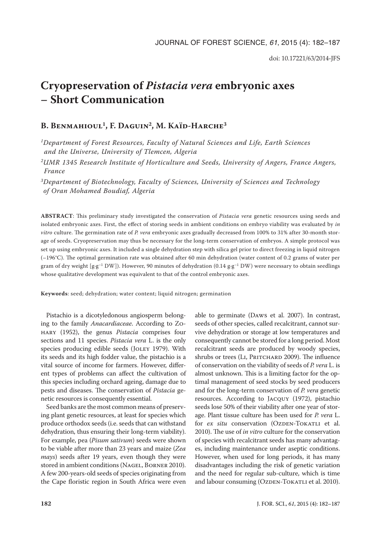# **Cryopreservation of** *Pistacia vera* **embryonic axes – Short Communication**

# B. BENMAHIOUL<sup>1</sup>, F. DAGUIN<sup>2</sup>, M. KAÏD-HARCHE<sup>3</sup>

*1Department of Forest Resources, Faculty of Natural Sciences and Life, Earth Sciences and the Universe, University of Tlemcen, Algeria*

*2UMR 1345 Research Institute of Horticulture and Seeds, University of Angers, France Angers, France*

*3Department of Biotechnology, Faculty of Sciences, University of Sciences and Technology of Oran Mohamed Boudiaf, Algeria*

**ABSTRACT**: This preliminary study investigated the conservation of *Pistacia vera* genetic resources using seeds and isolated embryonic axes. First, the effect of storing seeds in ambient conditions on embryo viability was evaluated by *in vitro* culture. The germination rate of *P. vera* embryonic axes gradually decreased from 100% to 31% after 30-month storage of seeds. Cryopreservation may thus be necessary for the long-term conservation of embryos. A simple protocol was set up using embryonic axes. It included a single dehydration step with silica gel prior to direct freezing in liquid nitrogen (–196°C). The optimal germination rate was obtained after 60 min dehydration (water content of 0.2 grams of water per gram of dry weight [g·g<sup>-1</sup> DW]). However, 90 minutes of dehydration (0.14 g·g<sup>-1</sup> DW) were necessary to obtain seedlings whose qualitative development was equivalent to that of the control embryonic axes.

**Keywords**: seed; dehydration; water content; liquid nitrogen; germination

Pistachio is a dicotyledonous angiosperm belonging to the family *Anacardiaceae*. According to Zohary (1952), the genus *Pistacia* comprises four sections and 11 species. *Pistacia vera* L. is the only species producing edible seeds (JOLEY 1979). With its seeds and its high fodder value, the pistachio is a vital source of income for farmers. However, different types of problems can affect the cultivation of this species including orchard ageing, damage due to pests and diseases. The conservation of *Pistacia* genetic resources is consequently essential.

Seed banks are the most common means of preserving plant genetic resources, at least for species which produce orthodox seeds (i.e. seeds that can withstand dehydration, thus ensuring their long-term viability). For example, pea (*Pisum sativum*) seeds were shown to be viable after more than 23 years and maize (*Zea mays*) seeds after 19 years, even though they were stored in ambient conditions (NAGEL, BORNER 2010). A few 200-years-old seeds of species originating from the Cape floristic region in South Africa were even

able to germinate (Daws et al. 2007). In contrast, seeds of other species, called recalcitrant, cannot survive dehydration or storage at low temperatures and consequently cannot be stored for a long period. Most recalcitrant seeds are produced by woody species, shrubs or trees (LI, PRITCHARD 2009). The influence of conservation on the viability of seeds of *P. vera* L. is almost unknown. This is a limiting factor for the optimal management of seed stocks by seed producers and for the long-term conservation of *P. vera* genetic resources. According to Jacquy (1972), pistachio seeds lose 50% of their viability after one year of storage. Plant tissue culture has been used for *P. vera* L. for *ex situ* conservation (OZDEN-TOKATLI et al. 2010). The use of *in vitro* culture for the conservation of species with recalcitrant seeds has many advantages, including maintenance under aseptic conditions. However, when used for long periods, it has many disadvantages including the risk of genetic variation and the need for regular sub-culture, which is time and labour consuming (OZDEN-TOKATLI et al. 2010).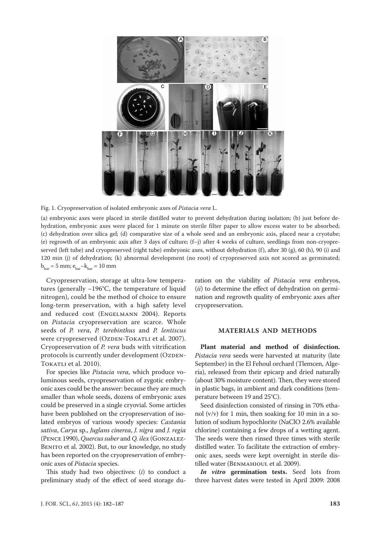



(a) embryonic axes were placed in sterile distilled water to prevent dehydration during isolation; (b) just before dehydration, embryonic axes were placed for 1 minute on sterile filter paper to allow excess water to be absorbed; (c) dehydration over silica gel; (d) comparative size of a whole seed and an embryonic axis, placed near a cryotube; (e) regrowth of an embryonic axis after 3 days of culture; (f–j) after 4 weeks of culture, seedlings from non-cryopreserved (left tube) and cryopreserved (right tube) embryonic axes, without dehydration (f), after 30 (g), 60 (h), 90 (i) and 120 min (j) of dehydration; (k) abnormal development (no root) of cryopreserved axis not scored as germinated;  $b<sub>bar</sub> = 5 mm; e<sub>bar</sub> - k<sub>bar</sub> = 10 mm$ 

Cryopreservation, storage at ultra-low temperatures (generally –196°C, the temperature of liquid nitrogen), could be the method of choice to ensure long-term preservation, with a high safety level and reduced cost (Engelmann 2004). Reports on *Pistacia* cryopreservation are scarce. Whole seeds of *P. vera*, *P. terebinthus* and *P. lentiscus* were cryopreserved (OzDEN-TOKATLI et al. 2007). Cryopreservation of *P. vera* buds with vitrification protocols is currently under development (OZDEN-TOKATLI et al. 2010).

For species like *Pistacia vera*, which produce voluminous seeds, cryopreservation of zygotic embryonic axes could be the answer: because they are much smaller than whole seeds, dozens of embryonic axes could be preserved in a single cryovial. Some articles have been published on the cryopreservation of isolated embryos of various woody species: *Castania sativa*, *Carya* sp., *Juglans cinerea*, *J. nigra* and *J. regia* (Pence 1990), *Quercus suber* and *Q. ilex* (Gonzalez-BENITO et al. 2002). But, to our knowledge, no study has been reported on the cryopreservation of embryonic axes of *Pistacia* species.

This study had two objectives: (*i*) to conduct a preliminary study of the effect of seed storage duration on the viability of *Pistacia vera* embryos, (*ii*) to determine the effect of dehydration on germination and regrowth quality of embryonic axes after cryopreservation.

#### **MATERIALS AND METHODS**

**Plant material and method of disinfection.**  *Pistacia vera* seeds were harvested at maturity (late September) in the El Fehoul orchard (Tlemcen, Algeria), released from their epicarp and dried naturally (about 30% moisture content). Then, they were stored in plastic bags, in ambient and dark conditions (temperature between 19 and 25°C).

Seed disinfection consisted of rinsing in 70% ethanol  $(v/v)$  for 1 min, then soaking for 10 min in a solution of sodium hypochlorite (NaClO 2.6% available chlorine) containing a few drops of a wetting agent. The seeds were then rinsed three times with sterile distilled water. To facilitate the extraction of embryonic axes, seeds were kept overnight in sterile distilled water (BENMAHIOUL et al. 2009).

*In vitro* **germination tests.** Seed lots from three harvest dates were tested in April 2009: 2008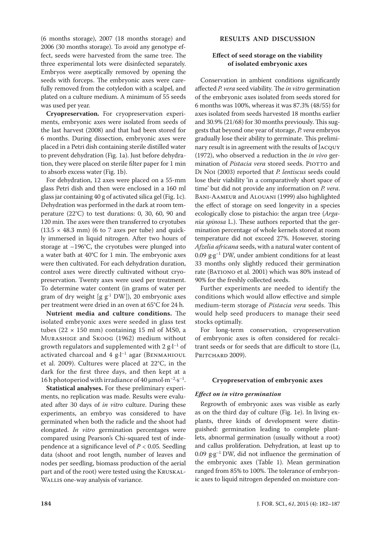(6 months storage), 2007 (18 months storage) and 2006 (30 months storage). To avoid any genotype effect, seeds were harvested from the same tree. The three experimental lots were disinfected separately. Embryos were aseptically removed by opening the seeds with forceps. The embryonic axes were carefully removed from the cotyledon with a scalpel, and plated on a culture medium. A minimum of 55 seeds was used per year.

**Cryopreservation.** For cryopreservation experiments, embryonic axes were isolated from seeds of the last harvest (2008) and that had been stored for 6 months. During dissection, embryonic axes were placed in a Petri dish containing sterile distilled water to prevent dehydration (Fig. 1a). Just before dehydration, they were placed on sterile filter paper for 1 min to absorb excess water (Fig. 1b).

For dehydration, 12 axes were placed on a 55-mm glass Petri dish and then were enclosed in a 160 ml glass jar containing 40 g of activated silica gel (Fig. 1c). Dehydration was performed in the dark at room temperature (22°C) to test durations: 0, 30, 60, 90 and 120 min. The axes were then transferred to cryotubes  $(13.5 \times 48.3 \text{ mm})$  (6 to 7 axes per tube) and quickly immersed in liquid nitrogen. After two hours of storage at –196°C, the cryotubes were plunged into a water bath at 40°C for 1 min. The embryonic axes were then cultivated. For each dehydration duration, control axes were directly cultivated without cryopreservation. Twenty axes were used per treatment. To determine water content (in grams of water per gram of dry weight [g  $g^{-1}$  DW]), 20 embryonic axes per treatment were dried in an oven at 65°C for 24 h.

**Nutrient media and culture conditions.** The isolated embryonic axes were seeded in glass test tubes ( $22 \times 150$  mm) containing 15 ml of MS0, a Murashige and Skoog (1962) medium without growth regulators and supplemented with 2  $g·l^{-1}$  of activated charcoal and  $4$  g $\cdot$ l<sup>-1</sup> agar (BENMAHIOUL et al. 2009). Cultures were placed at 22°C, in the dark for the first three days, and then kept at a 16 h photoperiod with irradiance of 40  $\mu$ mol·m<sup>-2</sup>·s<sup>-1</sup>.

**Statistical analyses.** For these preliminary experiments, no replication was made. Results were evaluated after 30 days of *in vitro* culture. During these experiments, an embryo was considered to have germinated when both the radicle and the shoot had elongated. *In vitro* germination percentages were compared using Pearson's Chi-squared test of independence at a significance level of *P* < 0.05. Seedling data (shoot and root length, number of leaves and nodes per seedling, biomass production of the aerial part and of the root) were tested using the Kruskal-WALLIS one-way analysis of variance.

# **RESULTS AND DISCUSSION**

# **Effect of seed storage on the viability of isolated embryonic axes**

Conservation in ambient conditions significantly affected *P. vera* seed viability. The *in vitro* germination of the embryonic axes isolated from seeds stored for 6 months was 100%, whereas it was 87.3% (48/55) for axes isolated from seeds harvested 18 months earlier and 30.9% (21/68) for 30 months previously. This suggests that beyond one year of storage, *P. vera* embryos gradually lose their ability to germinate. This preliminary result is in agreement with the results of Jacquy (1972), who observed a reduction in the *in vivo* germination of Pistacia vera stored seeds. PIOTTO and Di Noi (2003) reported that *P. lentiscus* seeds could lose their viability 'in a comparatively short space of time' but did not provide any information on *P. vera*. Bani-Aameur and Alouani (1999) also highlighted the effect of storage on seed longevity in a species ecologically close to pistachio: the argan tree (*Argania spinosa* L.). These authors reported that the germination percentage of whole kernels stored at room temperature did not exceed 27%. However, storing *Afzelia africana* seeds, with a natural water content of 0.09  $g \cdot g^{-1}$  DW, under ambient conditions for at least 33 months only slightly reduced their germination rate (BATIONO et al. 2001) which was 80% instead of 90% for the freshly collected seeds.

Further experiments are needed to identify the conditions which would allow effective and simple medium-term storage of *Pistacia vera* seeds. This would help seed producers to manage their seed stocks optimally.

For long-term conservation, cryopreservation of embryonic axes is often considered for recalcitrant seeds or for seeds that are difficult to store (Li, PRITCHARD 2009).

#### **Cryopreservation of embryonic axes**

#### *Effect on in vitro germination*

Regrowth of embryonic axes was visible as early as on the third day of culture (Fig. 1e). In living explants, three kinds of development were distinguished: germination leading to complete plantlets, abnormal germination (usually without a root) and callus proliferation. Dehydration, at least up to 0.09  $g \cdot g^{-1}$  DW, did not influence the germination of the embryonic axes (Table 1). Mean germination ranged from 85% to 100%. The tolerance of embryonic axes to liquid nitrogen depended on moisture con-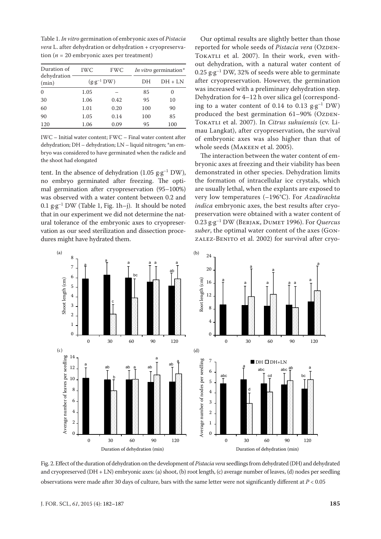Table 1. *In vitro* germination of embryonic axes of *Pistacia vera* L. after dehydration or dehydration + cryopreservation ( $n = 20$  embryonic axes per treatment)

| Duration of<br>dehydration<br>(min) | <b>IWC</b>            | <b>FWC</b> | <i>In vitro</i> germination* |           |
|-------------------------------------|-----------------------|------------|------------------------------|-----------|
|                                     | $(g \cdot g^{-1} DW)$ |            | DН                           | $DH + LN$ |
| $\mathbf{0}$                        | 1.05                  |            | 85                           | 0         |
| 30                                  | 1.06                  | 0.42       | 95                           | 10        |
| 60                                  | 1.01                  | 0.20       | 100                          | 90        |
| 90                                  | 1.05                  | 0.14       | 100                          | 85        |
| 120                                 | 1.06                  | 0.09       | 95                           | 100       |

the interaction between the water content of em-<br>the shoot had elegated dehydration; DH – dehydration; LN – liquid nitrogen; \*an em-<br>whole seeds (MAKEEN et al. 2005). bryo was considered to have germinated when the radicle and the shoot had elongated

tent. In the absence of dehydration (1.05  $g \cdot g^{-1}$  DW), no embryo germinated after freezing. The optimal germination after cryopreservation (95—100%) — are usually lethal, when the explants are ex was observed with a water content between 0.2 and very low temperatures  $(-196^{\circ}C)$ . For 0.1  $g·g<sup>-1</sup>$  DW (Table 1, Fig. 1h–j). It should be noted *indica* embryonic axes, the best result that in our experiment we did not determine the natural tolerance of the embryonic axes to cryopreser-  $0.23$  g·g<sup>-1</sup> DW (BERJAK, DUMET 1996) vation as our seed sterilization and dissection proce-<br>suber, the optimal water content of the state of the sterilization and dissection procedures might have hydrated them.  $0.1$  g.g  $\cdot$  D w  $(1$  able 1, Fig. 1n–)). It should be noted than the embryonic axes, the best result

Our optimal results are slightly better than those reported for whole seeds of *Pistacia vera* (Ozpen-TOKATLI et al. 2007). In their work, even without dehydration, with a natural water content of  $0.25$  g·g<sup>-1</sup> DW, 32% of seeds were able to germinate after cryopreservation. However, the germination was increased with a preliminary dehydration step. Dehydration for 4–12 h over silica gel (corresponding to a water content of 0.14 to 0.13  $g \cdot g^{-1}$  DW) produced the best germination 61-90% (OZDEN-Tokatli et al. 2007). In *Citrus suhuiensis* (cv. Li- $\frac{120}{20}$  1.00 0.09 0.09 9.3 100 mau Langkat), after cryopreservation, the survival  $\mu$ C – mitial water content; F WC – Final water content arter of embryonic axes was also higher than that of whole seeds (Makeen et al. 2005). n of dehydration (may can<br>IWC – Initial water content; FWC – Final water content after of embryonic axes was also higher

> bryonic axes at freezing and their viability has been bryonic axes at freezing and their viability has been demonstrated in other species. Dehydration limits the formation of intracellular ice crystals, which are usually lethal, when the explants are exposed to very low temperatures (–196°C). For *Azadirachta indica* embryonic axes, the best results after cryopreservation were obtained with a water content of 0.23 g·g–1 DW (Berjak, Dumet 1996). For *Quercus suber*, the optimal water content of the axes (Gonzalez-Benito et al. 2002) for survival after cryo-



Fig. 2. Effect of the duration of dehydration on the development of *Pistacia vera* seedlings from dehydrated (DH) and dehydrated and cryopreserved (DH + LN) embryonic axes: (a) shoot, (b) root length, (c) average number of leaves, (d) nodes per seedling observations were made after 30 days of culture, bars with the same letter were not significantly different at *P* < 0.05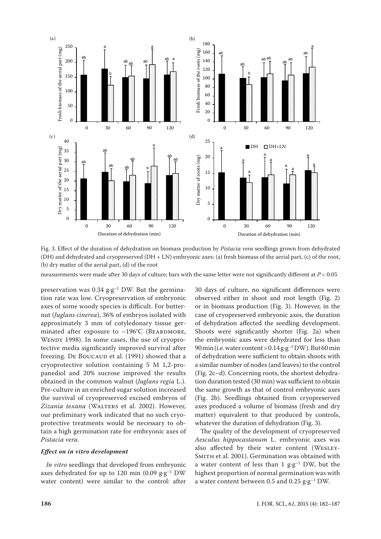

Fig. 3. Effect of the duration of dehydration on biomass production by *Pistacia vera* seedlings grown from dehydrated (DH) and dehydrated and cryopreserved (DH + LN) embryonic axes: (a) fresh biomass of the aerial part, (c) of the root, (b) dry matter of the aerial part, (d) of the root

measurements were made after 30 days of culture; bars with the same letter were not significantly different at *P* < 0.05

preservation was 0.34  $g·g<sup>-1</sup>$  DW. But the germination rate was low. Cryopreservation of embryonic axes of some woody species is difficult. For butternut (*Juglans cinerea*), 36% of embryos isolated with approximately 3 mm of cotyledonary tissue germinated after exposure to  $-196^{\circ}C$  (BEARDMORE, Wendy 1998). In some cases, the use of cryoprotective media significantly improved survival after freezing. De BOUCAUD et al. (1991) showed that a cryoprotective solution containing 5 M 1,2-propanediol and 20% sucrose improved the results obtained in the common walnut (*Juglans regia* L.). Pre-culture in an enriched sugar solution increased the survival of cryopreserved excised embryos of Zizania texana (WALTERS et al. 2002). However, our preliminary work indicated that no such cryoprotective treatments would be necessary to obtain a high germination rate for embryonic axes of *Pistacia vera.*

### *Effect on in vitro development*

*In vitro* seedlings that developed from embryonic axes dehydrated for up to 120 min (0.09  $g·g^{-1}$  DW water content) were similar to the control: after 30 days of culture, no significant differences were observed either in shoot and root length (Fig. 2) or in biomass production (Fig. 3). However, in the case of cryopreserved embryonic axes, the duration of dehydration affected the seedling development. Shoots were significantly shorter (Fig. 2a) when the embryonic axes were dehydrated for less than 90 min (i.e. water content >  $0.14$   $g·g<sup>-1</sup>$  DW). But 60 min of dehydration were sufficient to obtain shoots with a similar number of nodes (and leaves) to the control (Fig. 2c–d). Concerning roots, the shortest dehydration duration tested (30 min) was sufficient to obtain the same growth as that of control embryonic axes (Fig. 2b). Seedlings obtained from cryopreserved axes produced a volume of biomass (fresh and dry matter) equivalent to that produced by controls, whatever the duration of dehydration (Fig. 3).

The quality of the development of cryopreserved *Aesculus hippocastanum* L. embryonic axes was also affected by their water content (Wesley-SMITH et al. 2001). Germination was obtained with a water content of less than 1  $g \cdot g^{-1}$  DW, but the highest proportion of normal germination was with a water content between 0.5 and 0.25  $g·g<sup>-1</sup>$  DW.